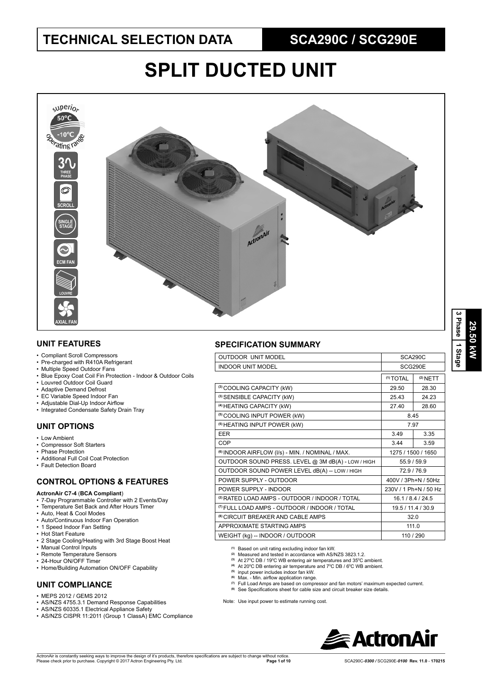# **SPLIT DUCTED UNIT**



### **UNIT FEATURES**

- Compliant Scroll Compressors
- Pre-charged with R410A Refrigerant
- Multiple Speed Outdoor Fans
- Blue Epoxy Coat Coil Fin Protection Indoor & Outdoor Coils
- Louvred Outdoor Coil Guard
- Adaptive Demand Defrost
- EC Variable Speed Indoor Fan
- Adjustable Dial-Up Indoor Airflow
- Integrated Condensate Safety Drain Tray

### **UNIT OPTIONS**

- Low Ambient
- Compressor Soft Starters
- Phase Protection • Additional Full Coil Coat Protection
- 
- Fault Detection Board

#### **CONTROL OPTIONS & FEATURES**

- **ActronAir C7-4** (**BCA Compliant**)
- 7-Day Programmable Controller with 2 Events/Day
- Temperature Set Back and After Hours Timer
- Auto, Heat & Cool Modes
- Auto/Continuous Indoor Fan Operation
- 1 Speed Indoor Fan Setting
- Hot Start Feature
- 2 Stage Cooling/Heating with 3rd Stage Boost Heat
- Manual Control Inputs
- Remote Temperature Sensors
- 24-Hour ON/OFF Timer
- Home/Building Automation ON/OFF Capability

## **UNIT COMPLIANCE**

- $\cdot$  MEPS 2012 / GEMS 2012
- AS/NZS 4755.3.1 Demand Response Capabilities
- AS/NZS 60335.1 Electrical Appliance Safety
- AS/NZS CISPR 11:2011 (Group 1 ClassA) EMC Compliance

#### **SPECIFICATION SUMMARY**

| <b>OUTDOOR UNIT MODEL</b>                                   | SCA290C               |            |  |  |
|-------------------------------------------------------------|-----------------------|------------|--|--|
| <b>INDOOR UNIT MODEL</b>                                    | SCG290E               |            |  |  |
|                                                             | <sup>(1)</sup> TOTAL  | $(2)$ NETT |  |  |
| (3) COOLING CAPACITY (kW)                                   | 29.50                 | 28.30      |  |  |
| (3) SENSIBLE CAPACITY (kW)                                  | 25.43                 | 24.23      |  |  |
| <sup>(4)</sup> HEATING CAPACITY (kW)                        | 28.60<br>27.40        |            |  |  |
| <sup>(5)</sup> COOLING INPUT POWER (kW)                     | 8.45                  |            |  |  |
| <sup>(5)</sup> HEATING INPUT POWER (kW)                     | 7.97                  |            |  |  |
| <b>FFR</b>                                                  | 3.49                  | 3.35       |  |  |
| COP                                                         | 3.44                  | 3.59       |  |  |
| <sup>(6)</sup> INDOOR AIRFLOW (I/s) - MIN. / NOMINAL / MAX. | 1275 / 1500 / 1650    |            |  |  |
| OUTDOOR SOUND PRESS. LEVEL @ 3M dB(A) - LOW / HIGH          | 55.9 / 59.9           |            |  |  |
| OUTDOOR SOUND POWER LEVEL dB(A) -- LOW / HIGH               | 72.9/76.9             |            |  |  |
| POWER SUPPLY - OUTDOOR                                      | 400V / 3Ph+N / 50Hz   |            |  |  |
| POWER SUPPLY - INDOOR                                       | 230V / 1 Ph+N / 50 Hz |            |  |  |
| <sup>(2)</sup> RATED LOAD AMPS - OUTDOOR / INDOOR / TOTAL   | 16.1/8.4/24.5         |            |  |  |
| <sup>(7)</sup> FULL LOAD AMPS - OUTDOOR / INDOOR / TOTAL    | 19.5/11.4/30.9        |            |  |  |
| <sup>(8)</sup> CIRCUIT BREAKER AND CABLE AMPS               | 32.0                  |            |  |  |
| APPROXIMATE STARTING AMPS                                   | 111.0                 |            |  |  |
| WEIGHT (kg) -- INDOOR / OUTDOOR                             | 110 / 290             |            |  |  |
|                                                             |                       |            |  |  |

**(1)** Based on unit rating excluding indoor fan kW.

- **(2)** Measured and tested in accordance with AS/NZS 3823.1.2.
- <sup>(3)</sup> At 27<sup>°</sup>C DB / 19<sup>°</sup>C WB entering air temperatures and 35<sup>°</sup>C ambient.
- <sup>(4)</sup> At 20<sup>o</sup>C DB entering air temperature and 7<sup>o</sup>C DB / 6<sup>o</sup>C WB ambient.<br><sup>(5)</sup> input power includes indoor fan kW.
- 
- <sup>(6)</sup> Max. Min. airflow application range.
- 
- <sup>(7)</sup> Full Load Amps are based on compressor and fan motors' maximum expected current.<br><sup>(8)</sup> See Specifications sheet for cable size and circuit breaker size details.

Note: Use input power to estimate running cost.

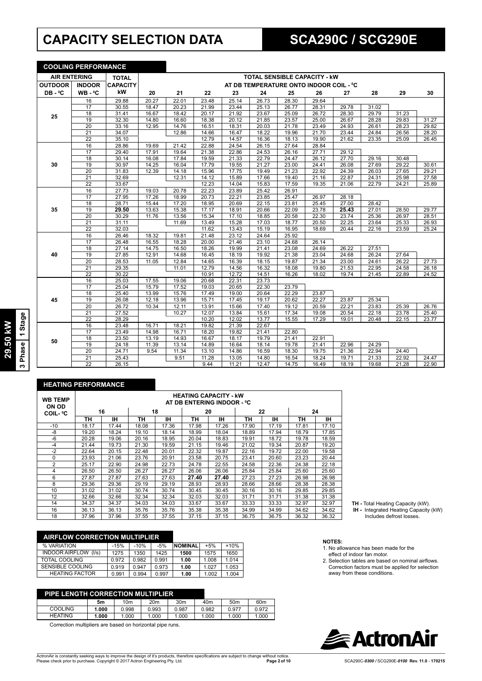# **CAPACITY SELECTION DATA <b>SCA290C** / SCG290E

**COOLING PERFORMANCE**

| <u>UUULING PERFURMANUE</u> |                 |                 |       |       |       |       |       |                                         |       |       |       |       |       |
|----------------------------|-----------------|-----------------|-------|-------|-------|-------|-------|-----------------------------------------|-------|-------|-------|-------|-------|
| <b>AIR ENTERING</b>        |                 | <b>TOTAL</b>    |       |       |       |       |       | <b>TOTAL SENSIBLE CAPACITY - KW</b>     |       |       |       |       |       |
| <b>OUTDOOR</b>             | <b>INDOOR</b>   | <b>CAPACITY</b> |       |       |       |       |       | AT DB TEMPERATURE ONTO INDOOR COIL - °C |       |       |       |       |       |
| DB-°C                      | WB-°C           | kW              | 20    | 21    | 22    | 23    | 24    | 25                                      | 26    | 27    | 28    | 29    | 30    |
|                            | 16              | 29.88           | 20.27 | 22.01 | 23.48 | 25.14 | 26.73 | 28.30                                   | 29.64 |       |       |       |       |
|                            | 17              | 30.55           | 18.47 | 20.23 | 21.99 | 23.44 | 25.13 | 26.77                                   | 28.31 | 29.78 | 31.02 |       |       |
|                            | 18              | 31.41           | 16.67 | 18.42 | 20.17 | 21.92 | 23.67 | 25.09                                   | 26.72 | 28.30 | 29.79 | 31.23 |       |
| 25                         | 19              | 32.30           | 14.80 | 16.60 | 18.38 | 20.12 | 21.85 | 23.57                                   | 25.00 | 26.67 | 28.28 | 29.83 | 31.27 |
|                            | $\overline{20}$ | 33.16           | 12.95 | 14.76 | 16.51 | 18.31 | 20.03 | 21.78                                   | 23.49 | 24.93 | 26.61 | 28.23 | 29.82 |
|                            | $\overline{21}$ | 34.07           |       | 12.86 | 14.66 | 16.47 | 18.22 | 19.96                                   | 21.70 | 23.44 | 24.84 | 26.56 | 28.20 |
|                            | 22              | 35.10           |       |       | 12.79 | 14.57 | 16.36 | 18.13                                   | 19.90 | 21.62 | 23.35 | 25.09 | 26.45 |
|                            | 16              | 28.86           | 19.69 | 21.42 | 22.88 | 24.54 | 26.15 | 27.64                                   | 28.84 |       |       |       |       |
|                            | 17              | 29.40           | 17.91 | 19.64 | 21.38 | 22.86 | 24.53 | 26.16                                   | 27.71 | 29.12 |       |       |       |
|                            | 18              | 30.14           | 16.08 | 17.84 | 19.59 | 21.33 | 22.79 | 24.47                                   | 26.12 | 27.70 | 29.16 | 30.48 |       |
| 30                         | 19              | 30.97           | 14.25 | 16.04 | 17.79 | 19.55 | 21.27 | 23.00                                   | 24.41 | 26.08 | 27.69 | 29.22 | 30.61 |
|                            | 20              | 31.83           | 12.39 | 14.18 | 15.96 | 17.75 | 19.49 | 21.23                                   | 22.92 | 24.39 | 26.03 | 27.65 | 29.21 |
|                            | 21              | 32.69           |       | 12.31 | 14.12 | 15.89 | 17.66 | 19.40                                   | 21.16 | 22.87 | 24.31 | 25.98 | 27.58 |
|                            | $\overline{22}$ | 33.67           |       |       | 12.23 | 14.04 | 15.83 | 17.59                                   | 19.35 | 21.06 | 22.79 | 24.21 | 25.89 |
|                            | $\overline{16}$ | 27.73           | 19.03 | 20.78 | 22.23 | 23.89 | 25.42 | 26.91                                   |       |       |       |       |       |
|                            | 17              | 27.95           | 17.26 | 18.99 | 20.73 | 22.21 | 23.85 | 25.47                                   | 26.97 | 28.18 |       |       |       |
|                            | $\overline{18}$ | 28.71           | 15.44 | 17.20 | 18.95 | 20.69 | 22.15 | 23.81                                   | 25.45 | 27.00 | 28.42 |       |       |
| 35                         | 19              | 29.50           | 13.63 | 15.38 | 17.17 | 18.91 | 20.66 | 22.09                                   | 23.78 | 25.43 | 27.01 | 28.50 | 29.77 |
|                            | $\overline{20}$ | 30.29           | 11.76 | 13.56 | 15.34 | 17.10 | 18.85 | 20.58                                   | 22.30 | 23.74 | 25.36 | 26.97 | 28.51 |
|                            | 21              | 31.11           |       | 11.69 | 13.49 | 15.28 | 17.03 | 18.77                                   | 20.50 | 22.25 | 23.64 | 25.33 | 26.93 |
|                            | $\overline{22}$ | 32.03           |       |       | 11.62 | 13.43 | 15.19 | 16.95                                   | 18.69 | 20.44 | 22.16 | 23.59 | 25.24 |
|                            | 16              | 26.46           | 18.32 | 19.81 | 21.48 | 23.12 | 24.64 | 25.92                                   |       |       |       |       |       |
|                            | 17              | 26.48           | 16.55 | 18.28 | 20.00 | 21.46 | 23.10 | 24.68                                   | 26.14 |       |       |       |       |
|                            | $\overline{18}$ | 27.14           | 14.75 | 16.50 | 18.26 | 19.99 | 21.41 | 23.08                                   | 24.69 | 26.22 | 27.51 |       |       |
| 40                         | 19              | 27.85           | 12.91 | 14.68 | 16.45 | 18.19 | 19.92 | 21.38                                   | 23.04 | 24.68 | 26.24 | 27.64 |       |
|                            | 20              | 28.53           | 11.05 | 12.84 | 14.65 | 16.39 | 18.15 | 19.87                                   | 21.34 | 23.00 | 24.61 | 26.22 | 27.73 |
|                            | 21              | 29.35           |       | 11.01 | 12.79 | 14.56 | 16.32 | 18.08                                   | 19.80 | 21.53 | 22.95 | 24.58 | 26.18 |
|                            | $\overline{22}$ | 30.22           |       |       | 10.91 | 12.72 | 14.51 | 16.26                                   | 18.02 | 19.74 | 21.45 | 22.89 | 24.52 |
|                            | 16              | 25.03           | 17.55 | 19.06 | 20.68 | 22.31 | 23.73 |                                         |       |       |       |       |       |
|                            | $\overline{17}$ | 25.04           | 15.79 | 17.52 | 19.03 | 20.65 | 22.30 | 23.79                                   |       |       |       |       |       |
|                            | 18              | 25.40           | 13.99 | 15.76 | 17.49 | 19.00 | 20.64 | 22.29                                   | 23.87 |       |       |       |       |
| 45                         | 19              | 26.08           | 12.18 | 13.96 | 15.71 | 17.45 | 19.17 | 20.62                                   | 22.27 | 23.87 | 25.34 |       |       |
|                            | 20              | 26.72           | 10.34 | 12.11 | 13.91 | 15.66 | 17.40 | 19.12                                   | 20.59 | 22.21 | 23.83 | 25.39 | 26.76 |
|                            | 21              | 27.52           |       | 10.27 | 12.07 | 13.84 | 15.61 | 17.34                                   | 19.08 | 20.54 | 22.18 | 23.78 | 25.40 |
|                            | 22              | 28.29           |       |       | 10.20 | 12.02 | 13.77 | 15.55                                   | 17.29 | 19.01 | 20.48 | 22.15 | 23.77 |
|                            | 16              | 23.48           | 16.71 | 18.21 | 19.82 | 21.39 | 22.67 |                                         |       |       |       |       |       |
|                            | 17              | 23.49           | 14.98 | 16.71 | 18.20 | 19.82 | 21.41 | 22.80                                   |       |       |       |       |       |
| 50                         | 18              | 23.50           | 13.19 | 14.93 | 16.67 | 18.17 | 19.79 | 21.41                                   | 22.91 |       |       |       |       |
|                            | 19              | 24.18           | 11.39 | 13.14 | 14.89 | 16.64 | 18.14 | 19.78                                   | 21.41 | 22.96 | 24.29 |       |       |
|                            | $\overline{20}$ | 24.71           | 9.54  | 11.34 | 13.10 | 14.86 | 16.59 | 18.30                                   | 19.75 | 21.36 | 22.94 | 24.40 |       |
|                            | $\overline{21}$ | 25.43           |       | 9.51  | 11.28 | 13.05 | 14.80 | 16.54                                   | 18.24 | 19.71 | 21.33 | 22.92 | 24.47 |
|                            | 22              | 26.15           |       |       | 9.44  | 11.21 | 12.47 | 14.75                                   | 16.49 | 18.19 | 19.68 | 21.28 | 22.90 |

#### **HEATING PERFORMANCE**

| <b>WB TEMP</b><br>ON OD | <b>HEATING CAPACITY - kW</b><br>AT DB ENTERING INDOOR - °C |       |       |       |       |       |       |       |       |       |  |  |  |
|-------------------------|------------------------------------------------------------|-------|-------|-------|-------|-------|-------|-------|-------|-------|--|--|--|
| <b>COIL- ºC</b>         | 16                                                         |       | 18    |       | 20    |       | 22    |       | 24    |       |  |  |  |
|                         | ΤН                                                         | ıн    | ΤН    | ıн    | ΤН    | IН    | ΤН    | ін    | TН    | ıн    |  |  |  |
| $-10$                   | 18.17                                                      | 17.44 | 18.08 | 17.36 | 17.98 | 17.26 | 17.90 | 17.19 | 17.81 | 17.10 |  |  |  |
| -8                      | 19.20                                                      | 18.24 | 19.10 | 18.14 | 18.99 | 18.04 | 18.89 | 17.94 | 18.79 | 17.85 |  |  |  |
| -6                      | 20.28                                                      | 19.06 | 20.16 | 18.95 | 20.04 | 18.83 | 19.91 | 18.72 | 19.78 | 18.59 |  |  |  |
| $-4$                    | 21.44                                                      | 19.73 | 21.30 | 19.59 | 21.15 | 19.46 | 21.02 | 19.34 | 20.87 | 19.20 |  |  |  |
| $-2$                    | 22.64                                                      | 20.15 | 22.48 | 20.01 | 22.32 | 19.87 | 22.16 | 19.72 | 22.00 | 19.58 |  |  |  |
| $\Omega$                | 23.93                                                      | 21.06 | 23.76 | 20.91 | 23.58 | 20.75 | 23.41 | 20.60 | 23.23 | 20.44 |  |  |  |
| $\overline{2}$          | 25.17                                                      | 22.90 | 24.98 | 22.73 | 24.78 | 22.55 | 24.58 | 22.36 | 24.38 | 22.18 |  |  |  |
| 4                       | 26.50                                                      | 26.50 | 26.27 | 26.27 | 26.06 | 26.06 | 25.84 | 25.84 | 25.60 | 25.60 |  |  |  |
| 6                       | 27.87                                                      | 27.87 | 27.63 | 27.63 | 27.40 | 27.40 | 27.23 | 27.23 | 26.98 | 26.98 |  |  |  |
| 8                       | 29.36                                                      | 29.36 | 29.19 | 29.19 | 28.93 | 28.93 | 28.66 | 28.66 | 28.38 | 28.38 |  |  |  |
| 10                      | 31.02                                                      | 31.02 | 30.74 | 30.74 | 30.45 | 30.45 | 30.16 | 30.16 | 29.85 | 29.85 |  |  |  |
| 12                      | 32.66                                                      | 32.66 | 32.34 | 32.34 | 32.03 | 32.03 | 31.71 | 31.71 | 31.38 | 31.38 |  |  |  |
| 14                      | 34.37                                                      | 34.37 | 34.03 | 34.03 | 33.67 | 33.67 | 33.33 | 33.33 | 32.97 | 32.97 |  |  |  |
| 16                      | 36.13                                                      | 36.13 | 35.76 | 35.76 | 35.38 | 35.38 | 34.99 | 34.99 | 34.62 | 34.62 |  |  |  |
| 18                      | 37.96                                                      | 37.96 | 37.55 | 37.55 | 37.15 | 37.15 | 36.75 | 36.75 | 36.32 | 36.32 |  |  |  |

| <b>AIRFLOW CORRECTION MULTIPLIER</b> |        |        |       |                |             |                  |
|--------------------------------------|--------|--------|-------|----------------|-------------|------------------|
| % VARIATION                          | $-15%$ | $-10%$ | $-5%$ | <b>NOMINAL</b> | $+5%$       | $+10%$           |
| INIOMDB AIBEI QIM UIB                | 107E   | 12E    | 110E  | <b>AEOO</b>    | <b>4575</b> | 10E <sub>D</sub> |

| 70 VARIATION                | -1370 | -1070 | -570  | INUMINAL | TJ 70 | T1U70   |
|-----------------------------|-------|-------|-------|----------|-------|---------|
| <b>INDOOR AIRFLOW (I/s)</b> | 1275  | 1350  | 1425  | 1500     | 1575  | 1650    |
| TOTAL COOLING               | 0.972 | 0.982 | 0.991 | 1.00     | 1.008 | 1 0 1 4 |
| SENSIBLE COOLING            | 0.919 | 0.947 | 0.973 | 1.00     | 1.027 | 1.053   |
| <b>HEATING FACTOR</b>       | 0.991 | 0.994 | 0.997 | 1.00     | 1.002 | 1.004   |
|                             |       |       |       |          |       |         |

| 30 <sub>m</sub> | 40 <sub>m</sub> | 50 <sub>m</sub> | 60 <sub>m</sub> |
|-----------------|-----------------|-----------------|-----------------|
|                 |                 |                 |                 |
| 0.987           | 0.982           | 0.977           | 0.972           |
| 1.000           |                 |                 | 1.000           |
|                 |                 | 1.000           | 1.000           |

Correction multipliers are based on horizontal pipe runs.

ActronAir is constantly seeking ways to improve the design of it's products, therefore specifications are subject to change without notice.<br>Please check prior to purchase. Copyright © 2017 Actron Engineering Pty. Ltd.

- **TH -** Total Heating Capacity (kW).
- **IH Integrated Heating Capacity (kW)**<br>Includes defrost losses.

**NOTES:**

- 1. No allowance has been made for the effect of indoor fan motor.
- 2. Selection tables are based on nominal airflows. Correction factors must be applied for selection away from these conditions.

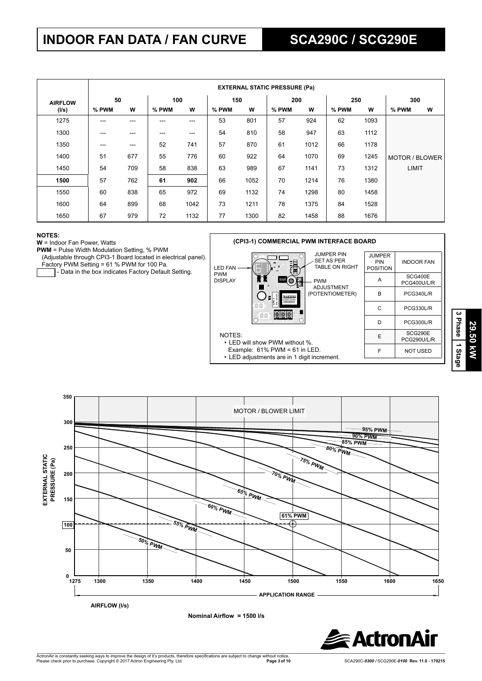# **INDOOR FAN DATA / FAN CURVE SCA290C / SCG290E**

|                      |       | <b>EXTERNAL STATIC PRESSURE (Pa)</b> |       |      |       |      |       |      |       |      |                |     |  |
|----------------------|-------|--------------------------------------|-------|------|-------|------|-------|------|-------|------|----------------|-----|--|
| 50<br><b>AIRFLOW</b> |       |                                      | 100   |      | 150   |      |       | 200  |       | 250  |                | 300 |  |
| (I/s)                | % PWM | W                                    | % PWM | W    | % PWM | w    | % PWM | W    | % PWM | W    | % PWM          | W   |  |
| 1275                 | ---   | $---$                                | ---   | ---  | 53    | 801  | 57    | 924  | 62    | 1093 |                |     |  |
| 1300                 | ---   | $---$                                | ---   | ---  | 54    | 810  | 58    | 947  | 63    | 1112 |                |     |  |
| 1350                 | ---   | ---                                  | 52    | 741  | 57    | 870  | 61    | 1012 | 66    | 1178 |                |     |  |
| 1400                 | 51    | 677                                  | 55    | 776  | 60    | 922  | 64    | 1070 | 69    | 1245 | MOTOR / BLOWER |     |  |
| 1450                 | 54    | 709                                  | 58    | 838  | 63    | 989  | 67    | 1141 | 73    | 1312 | <b>LIMIT</b>   |     |  |
| 1500                 | 57    | 762                                  | 61    | 902  | 66    | 1052 | 70    | 1214 | 76    | 1380 |                |     |  |
| 1550                 | 60    | 838                                  | 65    | 972  | 69    | 1132 | 74    | 1298 | 80    | 1458 |                |     |  |
| 1600                 | 64    | 899                                  | 68    | 1042 | 73    | 1211 | 78    | 1375 | 84    | 1528 |                |     |  |
| 1650                 | 67    | 979                                  | 72    | 1132 | 77    | 1300 | 82    | 1458 | 88    | 1676 |                |     |  |

#### **NOTES:**

**W** = Indoor Fan Power, Watts

**PWM** = Pulse Width Modulation Setting, % PWM

(Adjustable through CPI3-1 Board located in electrical panel).

Factory PWM Setting = 61 % PWM for 100 Pa.

- Data in the box indicates Factory Default Setting.







**Nominal Airfl ow = 1500 l/s**

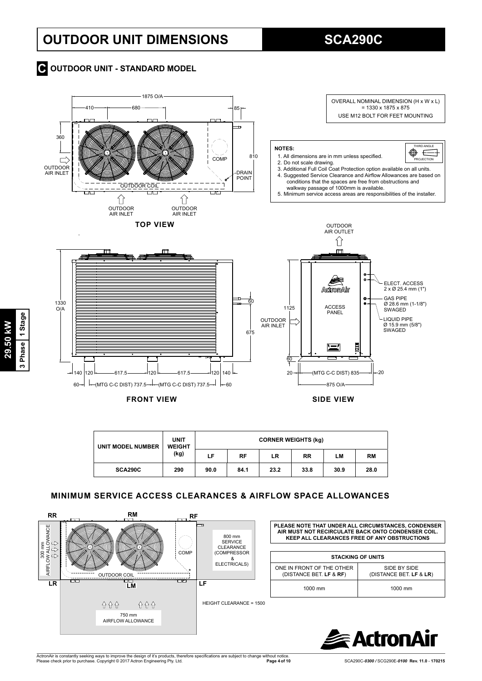# **OUTDOOR UNIT DIMENSIONS SCA290C**

## $\bullet$  **OUTDOOR UNIT - STANDARD MODEL**



| UNIT MODEL NUMBER | <b>UNIT</b><br><b>WEIGHT</b> | <b>CORNER WEIGHTS (kg)</b> |      |      |           |      |           |  |  |  |
|-------------------|------------------------------|----------------------------|------|------|-----------|------|-----------|--|--|--|
|                   | (kg)                         | LF                         | RF   | LR   | <b>RR</b> | LM   | <b>RM</b> |  |  |  |
| SCA290C           | 290                          | 90.0                       | 84.1 | 23.2 | 33.8      | 30.9 | 28.0      |  |  |  |

## **MINIMUM SERVICE ACCESS CLEARANCES & AIRFLOW SPACE ALLOWANCES**





**29.50 kW 3 Phase 1 Stage**

3 Phase 1 Stage 29.50 kW

ActronAir is constantly seeking ways to improve the design of it's products, therefore specifications are subject to change without notice.<br>Please check prior to purchase. Copyright © 2017 Actron Engineering Pty. Ltd.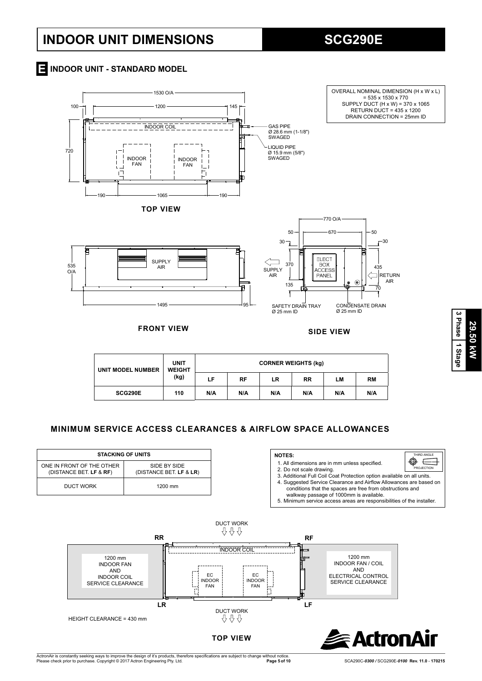# **INDOOR UNIT DIMENSIONS SCG290E**

## **INDOOR UNIT - STANDARD MODEL E**



**FRONT VIEW SIDE VIEW**

1495

OVERALL NOMINAL DIMENSION (H x W x L) = 535 x 1530 x 770 SUPPLY DUCT (H x W) = 370 x 1065 RETURN DUCT = 435 x 1200 DRAIN CONNECTION = 25mm ID



| UNIT MODEL NUMBER | <b>UNIT</b><br><b>WEIGHT</b><br>(kg) | <b>CORNER WEIGHTS (kg)</b> |           |     |           |     |           |  |  |
|-------------------|--------------------------------------|----------------------------|-----------|-----|-----------|-----|-----------|--|--|
|                   |                                      | LF                         | <b>RF</b> | LR  | <b>RR</b> | LМ  | <b>RM</b> |  |  |
| SCG290E           | 110                                  | N/A                        | N/A       | N/A | N/A       | N/A | N/A       |  |  |

95

## **MINIMUM SERVICE ACCESS CLEARANCES & AIRFLOW SPACE ALLOWANCES**

| <b>STACKING OF UNITS</b>                             |                                         | <b>NOTES:</b>                                                                                                                                                              | THIRD ANGLE              |
|------------------------------------------------------|-----------------------------------------|----------------------------------------------------------------------------------------------------------------------------------------------------------------------------|--------------------------|
| ONE IN FRONT OF THE OTHER<br>(DISTANCE BET. LF & RF) | SIDE BY SIDE<br>(DISTANCE BET. LF & LR) | 1. All dimensions are in mm unless specified.<br>2. Do not scale drawing.<br>3. Additional Full Coil Coat Protection option available on all units.                        | ⊕<br>-----<br>PROJECTION |
| DUCT WORK                                            | 1200 mm                                 | 4. Suggested Service Clearance and Airflow Allowances are based on<br>conditions that the spaces are free from obstructions and<br>walkway passage of 1000mm is available. |                          |
|                                                      |                                         | 5. Minimum service access areas are responsibilities of the installer.                                                                                                     |                          |



29.50 KW **29.50 kW 1 Stage**

**3 Phase**

ActronAir is constantly seeking ways to improve the design of it's products, therefore specifications are subject to change without notice.<br>Please check prior to purchase. Copyright © 2017 Actron Engineering Pty. Ltd.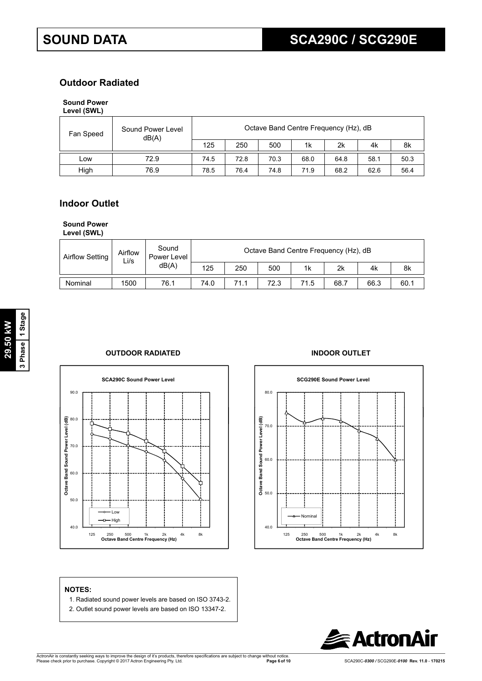## **Outdoor Radiated**

## **Sound Power**

| Level (SWL) |  |
|-------------|--|
|-------------|--|

| Fan Speed | Sound Power Level<br>dB(A) |      | Octave Band Centre Frequency (Hz), dB |      |      |      |      |      |  |  |  |
|-----------|----------------------------|------|---------------------------------------|------|------|------|------|------|--|--|--|
|           |                            | 125  | 250                                   | 500  | 1k   | 2k   | 4k   | 8k   |  |  |  |
| LOW       | 72.9                       | 74.5 | 72.8                                  | 70.3 | 68.0 | 64.8 | 58.1 | 50.3 |  |  |  |
| High      | 76.9                       | 78.5 | 76.4                                  | 74.8 | 71.9 | 68.2 | 62.6 | 56.4 |  |  |  |

## **Indoor Outlet**

### **Sound Power**

**Level (SWL)**

| <b>Airflow Setting</b> | Airflow<br>Li/s | Sound<br>Power Level<br>dB(A) | Octave Band Centre Frequency (Hz), dB |      |      |      |      |      |      |
|------------------------|-----------------|-------------------------------|---------------------------------------|------|------|------|------|------|------|
|                        |                 |                               | 125                                   | 250  | 500  | 1k   | 2k   | 4k   | 8k   |
| Nominal                | 1500            | 76.1                          | 74.0                                  | 71.1 | 72.3 | 71.5 | 68.7 | 66.3 | 60.1 |

### **OUTDOOR RADIATED INDOOR OUTLET**





## **NOTES:**

- 1. Radiated sound power levels are based on ISO 3743-2.
- 2. Outlet sound power levels are based on ISO 13347-2.

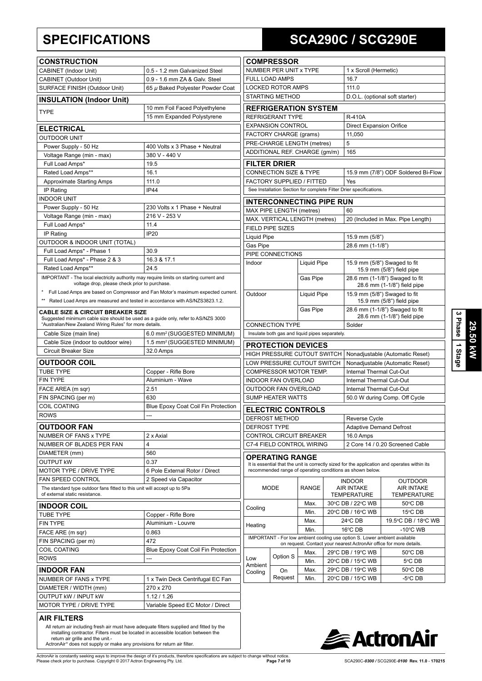# **SPECIFICATIONS SCA290C / SCG290E**

| <b>CONSTRUCTION</b>                                                                                                                                                                          |                                                                                  |
|----------------------------------------------------------------------------------------------------------------------------------------------------------------------------------------------|----------------------------------------------------------------------------------|
| CABINET (Indoor Unit)                                                                                                                                                                        | 0.5 - 1.2 mm Galvanized Steel                                                    |
| CABINET (Outdoor Unit)                                                                                                                                                                       | 0.9 - 1.6 mm ZA & Galv. Steel                                                    |
| SURFACE FINISH (Outdoor Unit)                                                                                                                                                                | 65 µ Baked Polyester Powder Coat                                                 |
| <b>INSULATION (Indoor Unit)</b>                                                                                                                                                              |                                                                                  |
| <b>TYPE</b>                                                                                                                                                                                  | 10 mm Foil Faced Polyethylene<br>15 mm Expanded Polystyrene                      |
| <b>ELECTRICAL</b>                                                                                                                                                                            |                                                                                  |
| <b>OUTDOOR UNIT</b>                                                                                                                                                                          |                                                                                  |
| Power Supply - 50 Hz                                                                                                                                                                         | 400 Volts x 3 Phase + Neutral                                                    |
| Voltage Range (min - max)                                                                                                                                                                    | 380 V - 440 V                                                                    |
| Full Load Amps*                                                                                                                                                                              | 19.5                                                                             |
| Rated Load Amps**                                                                                                                                                                            | 16.1                                                                             |
| <b>Approximate Starting Amps</b>                                                                                                                                                             | 111.0                                                                            |
| IP Rating<br><b>INDOOR UNIT</b>                                                                                                                                                              | <b>IP44</b>                                                                      |
| Power Supply - 50 Hz                                                                                                                                                                         | 230 Volts x 1 Phase + Neutral                                                    |
| Voltage Range (min - max)                                                                                                                                                                    | 216 V - 253 V                                                                    |
| Full Load Amps*                                                                                                                                                                              | 11.4                                                                             |
| IP Rating                                                                                                                                                                                    | IP <sub>20</sub>                                                                 |
| OUTDOOR & INDOOR UNIT (TOTAL)                                                                                                                                                                |                                                                                  |
| Full Load Amps* - Phase 1                                                                                                                                                                    | 30.9                                                                             |
| Full Load Amps* - Phase 2 & 3                                                                                                                                                                | 16.3 & 17.1                                                                      |
| Rated Load Amps**                                                                                                                                                                            | 24.5                                                                             |
| IMPORTANT - The local electricity authority may require limits on starting current and<br>voltage drop, please check prior to purchase.                                                      |                                                                                  |
| $\star$                                                                                                                                                                                      | Full Load Amps are based on Compressor and Fan Motor's maximum expected current. |
| ** Rated Load Amps are measured and tested in accordance with AS/NZS3823.1.2.                                                                                                                |                                                                                  |
|                                                                                                                                                                                              |                                                                                  |
| <b>CABLE SIZE &amp; CIRCUIT BREAKER SIZE</b><br>Suggested minimum cable size should be used as a guide only, refer to AS/NZS 3000<br>"Australian/New Zealand Wiring Rules" for more details. |                                                                                  |
|                                                                                                                                                                                              |                                                                                  |
| Cable Size (main line)                                                                                                                                                                       |                                                                                  |
| Cable Size (indoor to outdoor wire)                                                                                                                                                          | 6.0 mm <sup>2</sup> (SUGGESTED MINIMUM)                                          |
| Circuit Breaker Size                                                                                                                                                                         | 32.0 Amps                                                                        |
|                                                                                                                                                                                              |                                                                                  |
|                                                                                                                                                                                              |                                                                                  |
| <b>OUTDOOR COIL</b><br><b>TUBE TYPE</b><br><b>FIN TYPE</b>                                                                                                                                   | Copper - Rifle Bore<br>Aluminium - Wave                                          |
| FACE AREA (m sqr)                                                                                                                                                                            | 2.51                                                                             |
| FIN SPACING (per m)                                                                                                                                                                          | 630                                                                              |
|                                                                                                                                                                                              |                                                                                  |
|                                                                                                                                                                                              |                                                                                  |
| <b>COIL COATING</b><br><b>ROWS</b><br><b>OUTDOOR FAN</b>                                                                                                                                     |                                                                                  |
| NUMBER OF FANS x TYPE                                                                                                                                                                        | 2 x Axial                                                                        |
|                                                                                                                                                                                              | 4                                                                                |
| NUMBER OF BLADES PER FAN<br>DIAMETER (mm)                                                                                                                                                    | 560                                                                              |
|                                                                                                                                                                                              | 0.37                                                                             |
|                                                                                                                                                                                              | 6 Pole External Rotor / Direct                                                   |
|                                                                                                                                                                                              | 2 Speed via Capacitor                                                            |
| The standard type outdoor fans fitted to this unit will accept up to 5Pa<br>of external static resistance.                                                                                   |                                                                                  |
|                                                                                                                                                                                              |                                                                                  |
|                                                                                                                                                                                              | 1.5 mm <sup>2</sup> (SUGGESTED MINIMUM)<br>Blue Epoxy Coat Coil Fin Protection   |
|                                                                                                                                                                                              | Copper - Rifle Bore<br>Aluminium - Louvre                                        |
|                                                                                                                                                                                              | 0.863                                                                            |
| <b>OUTPUT KW</b><br><b>MOTOR TYPE / DRIVE TYPE</b><br><b>FAN SPEED CONTROL</b><br><b>INDOOR COIL</b><br><b>TUBE TYPE</b><br><b>FIN TYPE</b><br>FACE ARE (m sqr)                              | 472                                                                              |
|                                                                                                                                                                                              | Blue Epoxy Coat Coil Fin Protection                                              |
|                                                                                                                                                                                              |                                                                                  |
|                                                                                                                                                                                              |                                                                                  |
|                                                                                                                                                                                              |                                                                                  |
| FIN SPACING (per m)<br><b>COIL COATING</b><br>ROWS<br><b>INDOOR FAN</b><br>NUMBER OF FANS x TYPE                                                                                             | 1 x Twin Deck Centrifugal EC Fan<br>270 x 270                                    |
| DIAMETER / WIDTH (mm)<br>OUTPUT kW / INPUT kW                                                                                                                                                | 1.12 / 1.26                                                                      |

|                                                                          | <b>COMPRESSOR</b>                                    |                    |                                                               |                                                                           |                                                                                              |  |  |
|--------------------------------------------------------------------------|------------------------------------------------------|--------------------|---------------------------------------------------------------|---------------------------------------------------------------------------|----------------------------------------------------------------------------------------------|--|--|
| NUMBER PER UNIT x TYPE                                                   |                                                      |                    |                                                               | 1 x Scroll (Hermetic)                                                     |                                                                                              |  |  |
| <b>FULL LOAD AMPS</b>                                                    |                                                      |                    |                                                               | 16.7                                                                      |                                                                                              |  |  |
| <b>LOCKED ROTOR AMPS</b>                                                 |                                                      |                    |                                                               | 111.0                                                                     |                                                                                              |  |  |
| <b>STARTING METHOD</b>                                                   |                                                      |                    |                                                               | D.O.L. (optional soft starter)                                            |                                                                                              |  |  |
|                                                                          | <b>REFRIGERATION SYSTEM</b>                          |                    |                                                               |                                                                           |                                                                                              |  |  |
|                                                                          | <b>REFRIGERANT TYPE</b>                              |                    |                                                               | <b>R-410A</b>                                                             |                                                                                              |  |  |
|                                                                          | <b>EXPANSION CONTROL</b>                             |                    |                                                               | <b>Direct Expansion Orifice</b>                                           |                                                                                              |  |  |
|                                                                          | FACTORY CHARGE (grams)                               |                    |                                                               | 11,050                                                                    |                                                                                              |  |  |
|                                                                          | PRE-CHARGE LENGTH (metres)                           |                    |                                                               | 5                                                                         |                                                                                              |  |  |
|                                                                          | ADDITIONAL REF. CHARGE (gm/m)                        |                    |                                                               | 165                                                                       |                                                                                              |  |  |
| FILTER DRIER                                                             |                                                      |                    |                                                               |                                                                           |                                                                                              |  |  |
|                                                                          | <b>CONNECTION SIZE &amp; TYPE</b>                    |                    |                                                               | 15.9 mm (7/8") ODF Soldered Bi-Flow                                       |                                                                                              |  |  |
|                                                                          | FACTORY SUPPLIED / FITTED                            |                    |                                                               | Yes                                                                       |                                                                                              |  |  |
|                                                                          |                                                      |                    |                                                               | See Installation Section for complete Filter Drier specifications.        |                                                                                              |  |  |
|                                                                          | <b>INTERCONNECTING PIPE RUN</b>                      |                    |                                                               |                                                                           |                                                                                              |  |  |
|                                                                          | MAX PIPE LENGTH (metres)                             |                    |                                                               | 60                                                                        |                                                                                              |  |  |
|                                                                          | MAX. VERTICAL LENGTH (metres)                        |                    |                                                               |                                                                           | 20 (Included in Max. Pipe Length)                                                            |  |  |
| FIELD PIPE SIZES                                                         |                                                      |                    |                                                               |                                                                           |                                                                                              |  |  |
| Liquid Pipe                                                              |                                                      |                    |                                                               | 15.9 mm (5/8")                                                            |                                                                                              |  |  |
| Gas Pipe                                                                 |                                                      |                    |                                                               | 28.6 mm (1-1/8")                                                          |                                                                                              |  |  |
|                                                                          | PIPE CONNECTIONS                                     |                    |                                                               |                                                                           |                                                                                              |  |  |
| Indoor                                                                   |                                                      | <b>Liquid Pipe</b> |                                                               |                                                                           | 15.9 mm (5/8") Swaged to fit<br>15.9 mm (5/8") field pipe                                    |  |  |
|                                                                          |                                                      | Gas Pipe           |                                                               | 28.6 mm (1-1/8") Swaged to fit<br>28.6 mm (1-1/8") field pipe             |                                                                                              |  |  |
| Outdoor<br><b>Liquid Pipe</b>                                            |                                                      |                    | 15.9 mm (5/8") Swaged to fit<br>15.9 mm (5/8") field pipe     |                                                                           |                                                                                              |  |  |
| Gas Pipe                                                                 |                                                      |                    | 28.6 mm (1-1/8") Swaged to fit<br>28.6 mm (1-1/8") field pipe |                                                                           |                                                                                              |  |  |
|                                                                          |                                                      |                    |                                                               | Solder                                                                    |                                                                                              |  |  |
| <b>CONNECTION TYPE</b><br>Insulate both gas and liquid pipes separately. |                                                      |                    |                                                               |                                                                           |                                                                                              |  |  |
|                                                                          |                                                      |                    |                                                               |                                                                           |                                                                                              |  |  |
|                                                                          | <b>PROTECTION DEVICES</b>                            |                    |                                                               |                                                                           |                                                                                              |  |  |
|                                                                          | HIGH PRESSURE CUTOUT SWITCH                          |                    |                                                               |                                                                           | Nonadjustable (Automatic Reset)                                                              |  |  |
|                                                                          | LOW PRESSURE CUTOUT SWITCH<br>COMPRESSOR MOTOR TEMP. |                    |                                                               | Nonadjustable (Automatic Reset)<br>Internal Thermal Cut-Out               |                                                                                              |  |  |
|                                                                          | <b>INDOOR FAN OVERLOAD</b>                           |                    |                                                               | Internal Thermal Cut-Out                                                  |                                                                                              |  |  |
|                                                                          | OUTDOOR FAN OVERLOAD                                 |                    |                                                               | Internal Thermal Cut-Out                                                  |                                                                                              |  |  |
|                                                                          | <b>SUMP HEATER WATTS</b>                             |                    |                                                               | 50.0 W during Comp. Off Cycle                                             |                                                                                              |  |  |
|                                                                          |                                                      |                    |                                                               |                                                                           |                                                                                              |  |  |
|                                                                          | <b>ELECTRIC CONTROLS</b>                             |                    |                                                               |                                                                           |                                                                                              |  |  |
|                                                                          | <b>DEFROST METHOD</b>                                |                    |                                                               | Reverse Cycle                                                             |                                                                                              |  |  |
| DEFROST TYPE                                                             |                                                      |                    |                                                               | <b>Adaptive Demand Defrost</b>                                            |                                                                                              |  |  |
|                                                                          | CONTROL CIRCUIT BREAKER                              |                    |                                                               | 16.0 Amps                                                                 |                                                                                              |  |  |
| C7-4 FIELD CONTROL WIRING                                                |                                                      |                    |                                                               | 2 Core 14 / 0.20 Screened Cable                                           |                                                                                              |  |  |
|                                                                          | OPERATING RANGE                                      |                    |                                                               | recommended range of operating conditions as shown below.                 | It is essential that the unit is correctly sized for the application and operates within its |  |  |
| <b>MODE</b>                                                              |                                                      | <b>RANGE</b>       | <b>INDOOR</b><br><b>AIR INTAKE</b><br><b>TEMPERATURE</b>      |                                                                           | OUTDOOR<br><b>AIR INTAKE</b><br><b>TEMPERATURE</b>                                           |  |  |
|                                                                          |                                                      | Max.               |                                                               | 30°C DB / 22°C WB                                                         | 50°C DB                                                                                      |  |  |
| Cooling                                                                  |                                                      | Min.               | 20°C DB / 16°C WB                                             |                                                                           | 15°C DB                                                                                      |  |  |
| Max.                                                                     |                                                      | 24°C DB            |                                                               | 19.5°C DB / 18°C WB                                                       |                                                                                              |  |  |
| Heating<br>Min.                                                          |                                                      |                    |                                                               | 16°C DB<br>$-10^{\circ}$ C WB                                             |                                                                                              |  |  |
|                                                                          |                                                      |                    |                                                               | IMPORTANT - For low ambient cooling use option S. Lower ambient available | on request. Contact your nearest ActronAir office for more details.                          |  |  |
|                                                                          |                                                      | Max.               |                                                               | 29°C DB / 19°C WB                                                         | 50°C DB                                                                                      |  |  |
| Low                                                                      | Option S                                             | Min.               |                                                               |                                                                           | 5°C DB                                                                                       |  |  |
| Ambient                                                                  | On                                                   | Max.               | 20°C DB / 15°C WB<br>29°C DB / 19°C WB                        |                                                                           | 50℃ DB                                                                                       |  |  |
| Cooling                                                                  | Request                                              | Min.               |                                                               | 20°C DB / 15°C WB                                                         | $-5^{\circ}$ C DB                                                                            |  |  |
|                                                                          |                                                      |                    |                                                               |                                                                           |                                                                                              |  |  |



installing contractor. Filters must be located in accessible location between the<br>return air grille and the unit.-<br>ActronAir® does not supply or make any provisions for return air filter.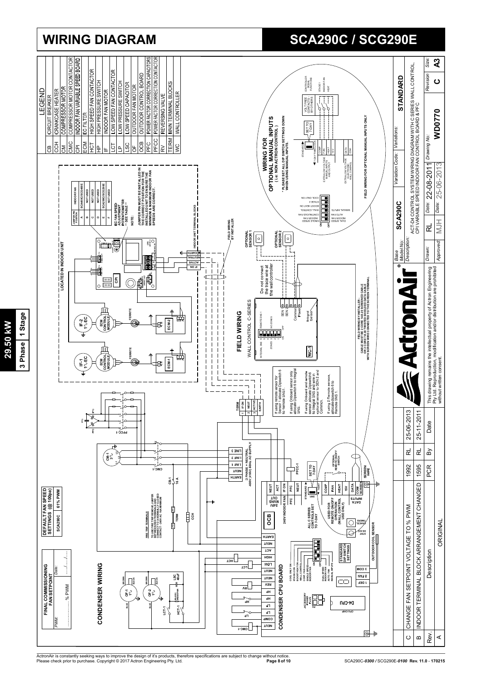

3 Phase 1 Stage **3 Phase 1 Stage** 29.50 kW **29.50 kW**

# **WIRING DIAGRAM SCA290C / SCG290E**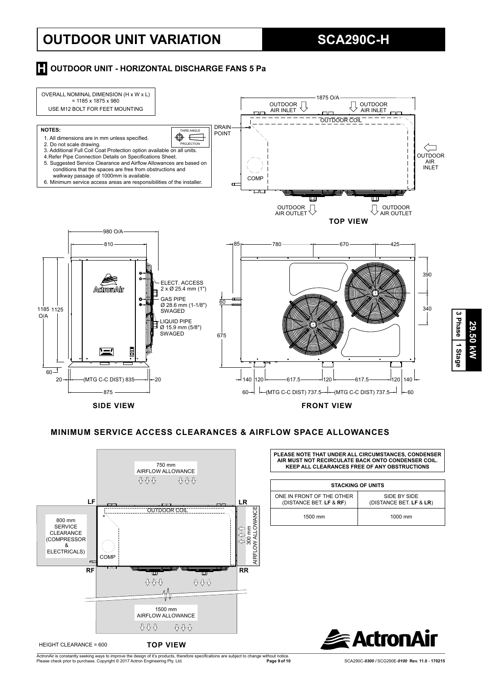# **OUTDOOR UNIT VARIATION SCA290C-H**

## **H** OUTDOOR UNIT - HORIZONTAL DISCHARGE FANS 5 Pa



#### **MINIMUM SERVICE ACCESS CLEARANCES & AIRFLOW SPACE ALLOWANCES**



**PLEASE NOTE THAT UNDER ALL CIRCUMSTANCES, CONDENSER AIR MUST NOT RECIRCULATE BACK ONTO CONDENSER COIL. KEEP ALL CLEARANCES FREE OF ANY OBSTRUCTIONS**

| <b>STACKING OF UNITS</b>                             |                                         |  |  |
|------------------------------------------------------|-----------------------------------------|--|--|
| ONE IN FRONT OF THE OTHER<br>(DISTANCE BET. LF & RF) | SIDE BY SIDE<br>(DISTANCE BET. LF & LR) |  |  |
| 1500 mm                                              | 1000 mm                                 |  |  |



ActronAir is constantly seeking ways to improve the design of it's products, therefore specifications are subject to change without notice.<br>Please check prior to purchase. Copyright © 2017 Actron Engineering Pty. Ltd.